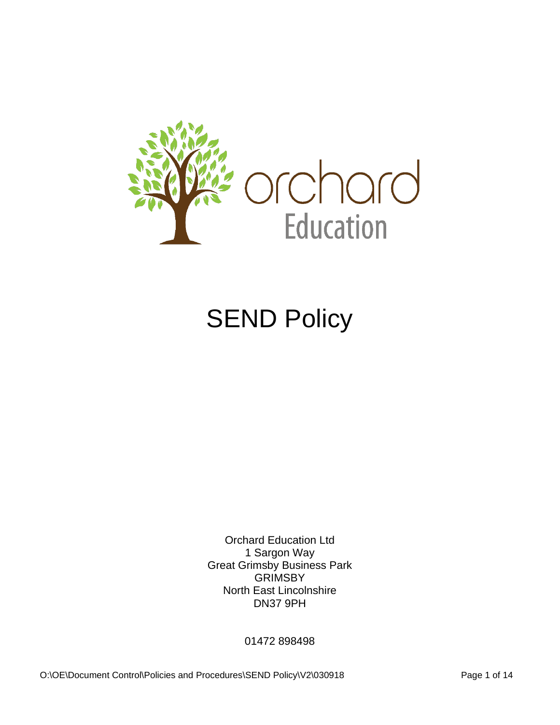

# **SEND Policy**

Orchard Education Ltd 1 Sargon Way Great Grimsby Business Park **GRIMSBY** North East Lincolnshire DN37 9PH

01472 898498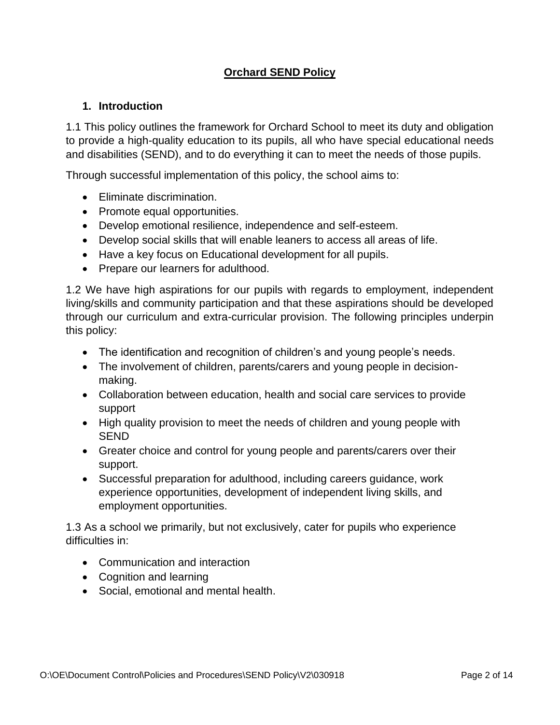# **Orchard SEND Policy**

# **1. Introduction**

1.1 This policy outlines the framework for Orchard School to meet its duty and obligation to provide a high-quality education to its pupils, all who have special educational needs and disabilities (SEND), and to do everything it can to meet the needs of those pupils.

Through successful implementation of this policy, the school aims to:

- Eliminate discrimination.
- Promote equal opportunities.
- Develop emotional resilience, independence and self-esteem.
- Develop social skills that will enable leaners to access all areas of life.
- Have a key focus on Educational development for all pupils.
- Prepare our learners for adulthood.

1.2 We have high aspirations for our pupils with regards to employment, independent living/skills and community participation and that these aspirations should be developed through our curriculum and extra-curricular provision. The following principles underpin this policy:

- The identification and recognition of children's and young people's needs.
- The involvement of children, parents/carers and young people in decisionmaking.
- Collaboration between education, health and social care services to provide support
- High quality provision to meet the needs of children and young people with SEND
- Greater choice and control for young people and parents/carers over their support.
- Successful preparation for adulthood, including careers guidance, work experience opportunities, development of independent living skills, and employment opportunities.

1.3 As a school we primarily, but not exclusively, cater for pupils who experience difficulties in:

- Communication and interaction
- Cognition and learning
- Social, emotional and mental health.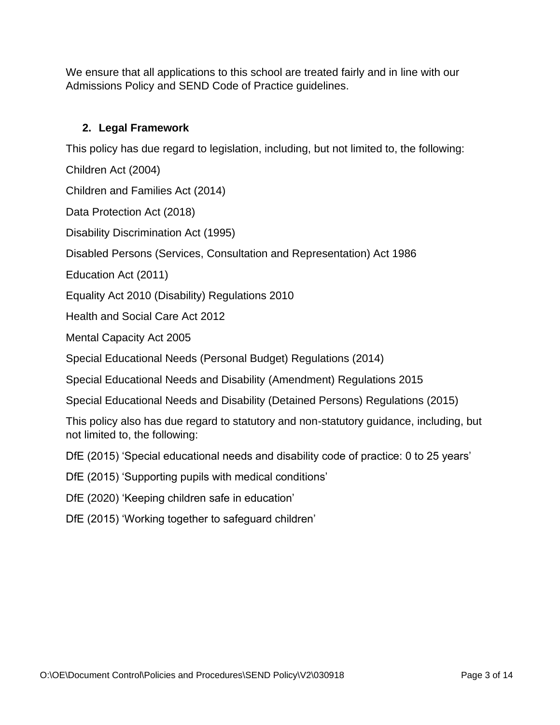We ensure that all applications to this school are treated fairly and in line with our Admissions Policy and SEND Code of Practice guidelines.

# **2. Legal Framework**

This policy has due regard to legislation, including, but not limited to, the following:

Children Act (2004)

Children and Families Act (2014)

Data Protection Act (2018)

Disability Discrimination Act (1995)

Disabled Persons (Services, Consultation and Representation) Act 1986

Education Act (2011)

Equality Act 2010 (Disability) Regulations 2010

Health and Social Care Act 2012

Mental Capacity Act 2005

Special Educational Needs (Personal Budget) Regulations (2014)

Special Educational Needs and Disability (Amendment) Regulations 2015

Special Educational Needs and Disability (Detained Persons) Regulations (2015)

This policy also has due regard to statutory and non-statutory guidance, including, but not limited to, the following:

DfE (2015) 'Special educational needs and disability code of practice: 0 to 25 years'

DfE (2015) 'Supporting pupils with medical conditions'

DfE (2020) 'Keeping children safe in education'

DfE (2015) 'Working together to safeguard children'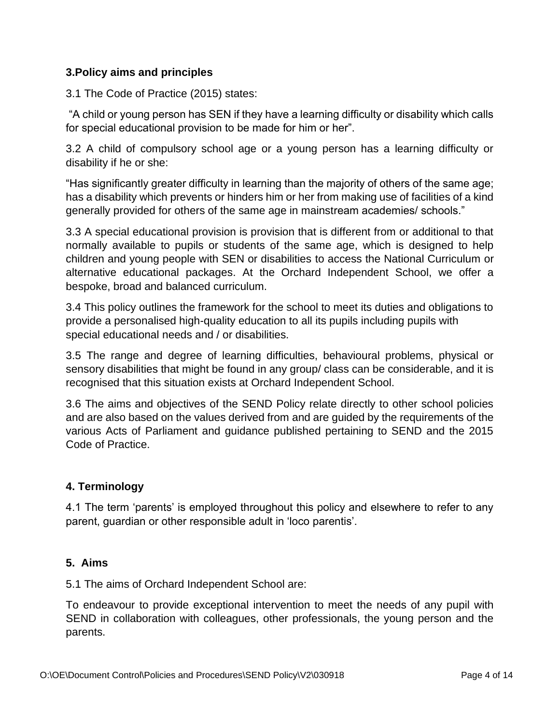# **3.Policy aims and principles**

3.1 The Code of Practice (2015) states:

"A child or young person has SEN if they have a learning difficulty or disability which calls for special educational provision to be made for him or her".

3.2 A child of compulsory school age or a young person has a learning difficulty or disability if he or she:

"Has significantly greater difficulty in learning than the majority of others of the same age; has a disability which prevents or hinders him or her from making use of facilities of a kind generally provided for others of the same age in mainstream academies/ schools."

3.3 A special educational provision is provision that is different from or additional to that normally available to pupils or students of the same age, which is designed to help children and young people with SEN or disabilities to access the National Curriculum or alternative educational packages. At the Orchard Independent School, we offer a bespoke, broad and balanced curriculum.

3.4 This policy outlines the framework for the school to meet its duties and obligations to provide a personalised high-quality education to all its pupils including pupils with special educational needs and / or disabilities.

3.5 The range and degree of learning difficulties, behavioural problems, physical or sensory disabilities that might be found in any group/ class can be considerable, and it is recognised that this situation exists at Orchard Independent School.

3.6 The aims and objectives of the SEND Policy relate directly to other school policies and are also based on the values derived from and are guided by the requirements of the various Acts of Parliament and guidance published pertaining to SEND and the 2015 Code of Practice.

# **4. Terminology**

4.1 The term 'parents' is employed throughout this policy and elsewhere to refer to any parent, guardian or other responsible adult in 'loco parentis'.

# **5. Aims**

5.1 The aims of Orchard Independent School are:

To endeavour to provide exceptional intervention to meet the needs of any pupil with SEND in collaboration with colleagues, other professionals, the young person and the parents.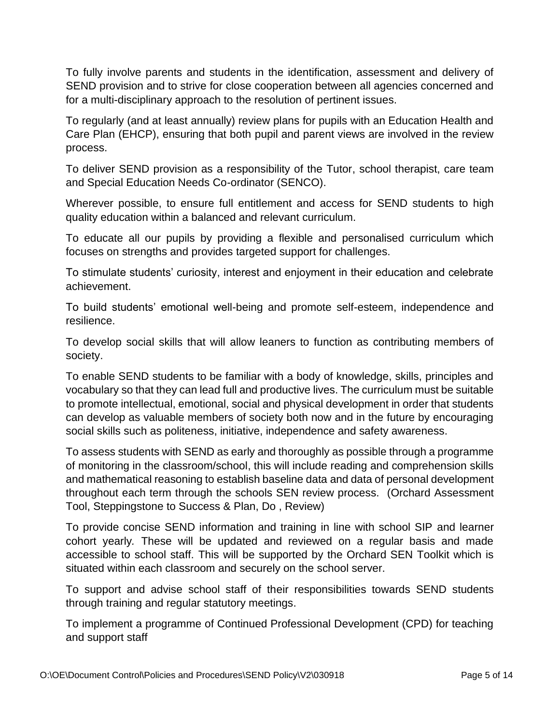To fully involve parents and students in the identification, assessment and delivery of SEND provision and to strive for close cooperation between all agencies concerned and for a multi-disciplinary approach to the resolution of pertinent issues.

To regularly (and at least annually) review plans for pupils with an Education Health and Care Plan (EHCP), ensuring that both pupil and parent views are involved in the review process.

To deliver SEND provision as a responsibility of the Tutor, school therapist, care team and Special Education Needs Co-ordinator (SENCO).

Wherever possible, to ensure full entitlement and access for SEND students to high quality education within a balanced and relevant curriculum.

To educate all our pupils by providing a flexible and personalised curriculum which focuses on strengths and provides targeted support for challenges.

To stimulate students' curiosity, interest and enjoyment in their education and celebrate achievement.

To build students' emotional well-being and promote self-esteem, independence and resilience.

To develop social skills that will allow leaners to function as contributing members of society.

To enable SEND students to be familiar with a body of knowledge, skills, principles and vocabulary so that they can lead full and productive lives. The curriculum must be suitable to promote intellectual, emotional, social and physical development in order that students can develop as valuable members of society both now and in the future by encouraging social skills such as politeness, initiative, independence and safety awareness.

To assess students with SEND as early and thoroughly as possible through a programme of monitoring in the classroom/school, this will include reading and comprehension skills and mathematical reasoning to establish baseline data and data of personal development throughout each term through the schools SEN review process. (Orchard Assessment Tool, Steppingstone to Success & Plan, Do , Review)

To provide concise SEND information and training in line with school SIP and learner cohort yearly*.* These will be updated and reviewed on a regular basis and made accessible to school staff. This will be supported by the Orchard SEN Toolkit which is situated within each classroom and securely on the school server.

To support and advise school staff of their responsibilities towards SEND students through training and regular statutory meetings.

To implement a programme of Continued Professional Development (CPD) for teaching and support staff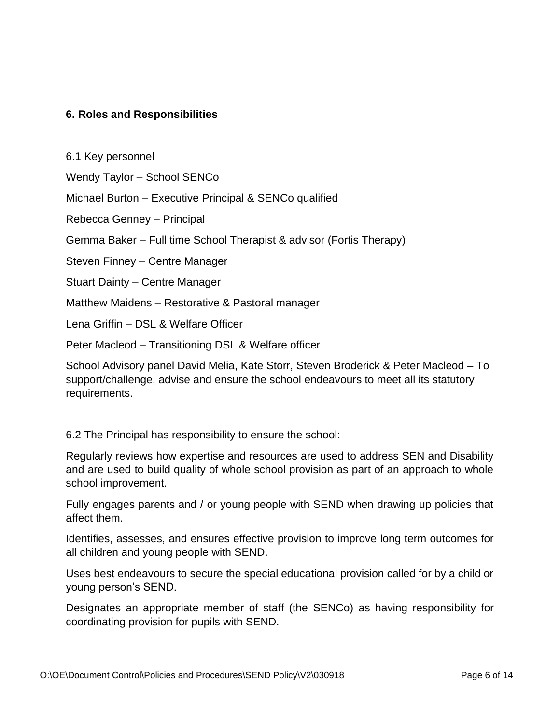# **6. Roles and Responsibilities**

6.1 Key personnel

Wendy Taylor – School SENCo

Michael Burton – Executive Principal & SENCo qualified

Rebecca Genney – Principal

Gemma Baker – Full time School Therapist & advisor (Fortis Therapy)

Steven Finney – Centre Manager

Stuart Dainty – Centre Manager

Matthew Maidens – Restorative & Pastoral manager

Lena Griffin – DSL & Welfare Officer

Peter Macleod – Transitioning DSL & Welfare officer

School Advisory panel David Melia, Kate Storr, Steven Broderick & Peter Macleod – To support/challenge, advise and ensure the school endeavours to meet all its statutory requirements.

6.2 The Principal has responsibility to ensure the school:

Regularly reviews how expertise and resources are used to address SEN and Disability and are used to build quality of whole school provision as part of an approach to whole school improvement.

Fully engages parents and / or young people with SEND when drawing up policies that affect them.

Identifies, assesses, and ensures effective provision to improve long term outcomes for all children and young people with SEND.

Uses best endeavours to secure the special educational provision called for by a child or young person's SEND.

Designates an appropriate member of staff (the SENCo) as having responsibility for coordinating provision for pupils with SEND.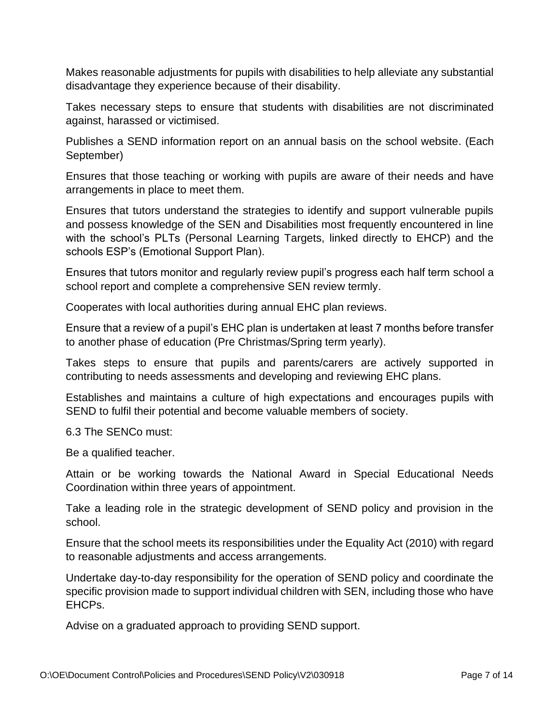Makes reasonable adjustments for pupils with disabilities to help alleviate any substantial disadvantage they experience because of their disability.

Takes necessary steps to ensure that students with disabilities are not discriminated against, harassed or victimised.

Publishes a SEND information report on an annual basis on the school website. (Each September)

Ensures that those teaching or working with pupils are aware of their needs and have arrangements in place to meet them.

Ensures that tutors understand the strategies to identify and support vulnerable pupils and possess knowledge of the SEN and Disabilities most frequently encountered in line with the school's PLTs (Personal Learning Targets, linked directly to EHCP) and the schools ESP's (Emotional Support Plan).

Ensures that tutors monitor and regularly review pupil's progress each half term school a school report and complete a comprehensive SEN review termly.

Cooperates with local authorities during annual EHC plan reviews.

Ensure that a review of a pupil's EHC plan is undertaken at least 7 months before transfer to another phase of education (Pre Christmas/Spring term yearly).

Takes steps to ensure that pupils and parents/carers are actively supported in contributing to needs assessments and developing and reviewing EHC plans.

Establishes and maintains a culture of high expectations and encourages pupils with SEND to fulfil their potential and become valuable members of society.

6.3 The SENCo must:

Be a qualified teacher.

Attain or be working towards the National Award in Special Educational Needs Coordination within three years of appointment.

Take a leading role in the strategic development of SEND policy and provision in the school.

Ensure that the school meets its responsibilities under the Equality Act (2010) with regard to reasonable adjustments and access arrangements.

Undertake day-to-day responsibility for the operation of SEND policy and coordinate the specific provision made to support individual children with SEN, including those who have EHCPs.

Advise on a graduated approach to providing SEND support.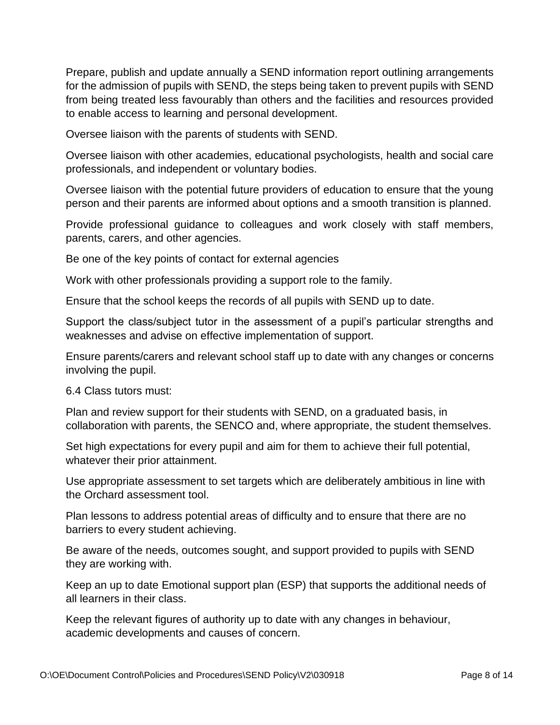Prepare, publish and update annually a SEND information report outlining arrangements for the admission of pupils with SEND, the steps being taken to prevent pupils with SEND from being treated less favourably than others and the facilities and resources provided to enable access to learning and personal development.

Oversee liaison with the parents of students with SEND.

Oversee liaison with other academies, educational psychologists, health and social care professionals, and independent or voluntary bodies.

Oversee liaison with the potential future providers of education to ensure that the young person and their parents are informed about options and a smooth transition is planned.

Provide professional guidance to colleagues and work closely with staff members, parents, carers, and other agencies.

Be one of the key points of contact for external agencies

Work with other professionals providing a support role to the family.

Ensure that the school keeps the records of all pupils with SEND up to date.

Support the class/subject tutor in the assessment of a pupil's particular strengths and weaknesses and advise on effective implementation of support.

Ensure parents/carers and relevant school staff up to date with any changes or concerns involving the pupil.

6.4 Class tutors must:

Plan and review support for their students with SEND, on a graduated basis, in collaboration with parents, the SENCO and, where appropriate, the student themselves.

Set high expectations for every pupil and aim for them to achieve their full potential, whatever their prior attainment.

Use appropriate assessment to set targets which are deliberately ambitious in line with the Orchard assessment tool.

Plan lessons to address potential areas of difficulty and to ensure that there are no barriers to every student achieving.

Be aware of the needs, outcomes sought, and support provided to pupils with SEND they are working with.

Keep an up to date Emotional support plan (ESP) that supports the additional needs of all learners in their class.

Keep the relevant figures of authority up to date with any changes in behaviour, academic developments and causes of concern.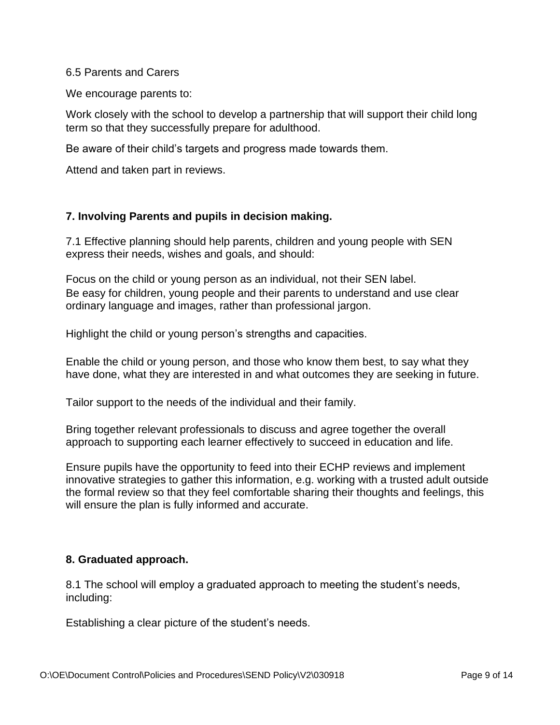#### 6.5 Parents and Carers

We encourage parents to:

Work closely with the school to develop a partnership that will support their child long term so that they successfully prepare for adulthood.

Be aware of their child's targets and progress made towards them.

Attend and taken part in reviews.

## **7. Involving Parents and pupils in decision making.**

7.1 Effective planning should help parents, children and young people with SEN express their needs, wishes and goals, and should:

Focus on the child or young person as an individual, not their SEN label. Be easy for children, young people and their parents to understand and use clear ordinary language and images, rather than professional jargon.

Highlight the child or young person's strengths and capacities.

Enable the child or young person, and those who know them best, to say what they have done, what they are interested in and what outcomes they are seeking in future.

Tailor support to the needs of the individual and their family.

Bring together relevant professionals to discuss and agree together the overall approach to supporting each learner effectively to succeed in education and life.

Ensure pupils have the opportunity to feed into their ECHP reviews and implement innovative strategies to gather this information, e.g. working with a trusted adult outside the formal review so that they feel comfortable sharing their thoughts and feelings, this will ensure the plan is fully informed and accurate.

## **8. Graduated approach.**

8.1 The school will employ a graduated approach to meeting the student's needs, including:

Establishing a clear picture of the student's needs.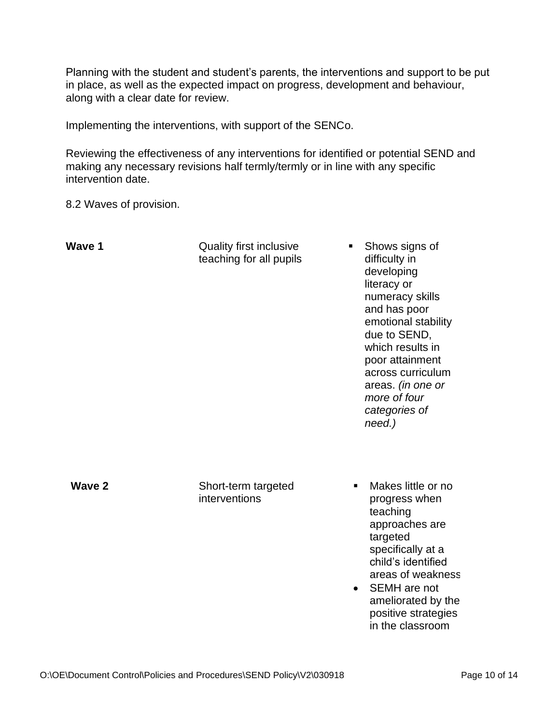Planning with the student and student's parents, the interventions and support to be put in place, as well as the expected impact on progress, development and behaviour, along with a clear date for review.

Implementing the interventions, with support of the SENCo.

Reviewing the effectiveness of any interventions for identified or potential SEND and making any necessary revisions half termly/termly or in line with any specific intervention date.

8.2 Waves of provision.

| Wave 1 | <b>Quality first inclusive</b><br>teaching for all pupils | Shows signs of<br>difficulty in<br>developing<br>literacy or<br>numeracy skills<br>and has poor<br>emotional stability<br>due to SEND,<br>which results in<br>poor attainment<br>across curriculum<br>areas. (in one or<br>more of four<br>categories of<br>need.) |
|--------|-----------------------------------------------------------|--------------------------------------------------------------------------------------------------------------------------------------------------------------------------------------------------------------------------------------------------------------------|
| Wave 2 | Short-term targeted<br>interventions<br>$\bullet$         | Makes little or no<br>progress when<br>teaching<br>approaches are<br>targeted<br>specifically at a<br>child's identified<br>areas of weakness<br>SEMH are not<br>ameliorated by the<br>positive strategies<br>in the classroom                                     |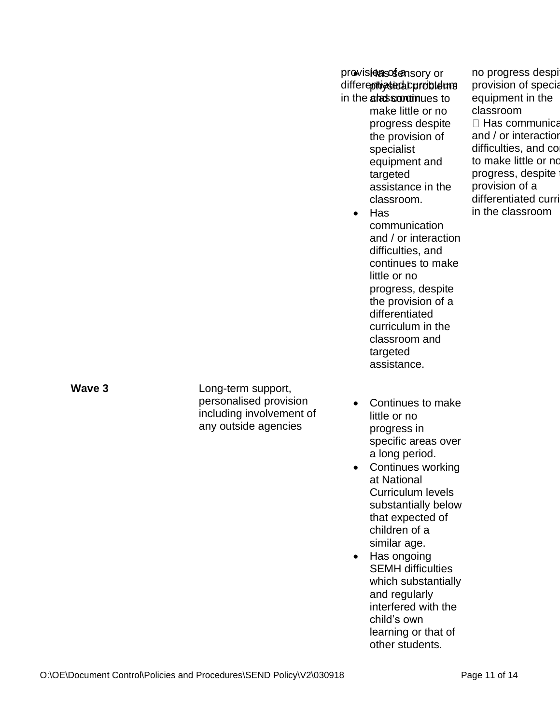provisionalsosfensory or differepthigstacal curroible hands in the **alassrontin**ues to

make little or no progress despite the provision of specialist equipment and targeted assistance in the classroom.

- Has communication and / or interaction difficulties, and continues to make little or no progress, despite the provision of a differentiated curriculum in the classroom and targeted assistance.
- Continues to make little or no progress in specific areas over a long period.
- Continues working at National Curriculum levels substantially below that expected of children of a similar age.
- Has ongoing SEMH difficulties which substantially and regularly interfered with the child's own learning or that of other students.

no progress despi provision of specia equipment in the classroom  $\Box$  Has communica and / or interaction difficulties, and co to make little or no progress, despite provision of a differentiated curri in the classroom

**Wave 3** 

Long-term support, personalised provision including involvement of any outside agencies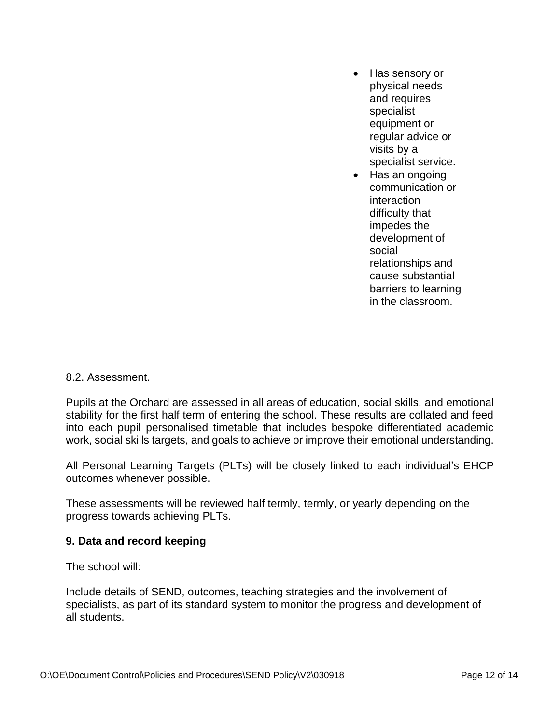- Has sensory or physical needs and requires specialist equipment or regular advice or visits by a specialist service.
- Has an ongoing communication or interaction difficulty that impedes the development of social relationships and cause substantial barriers to learning in the classroom.

#### 8.2. Assessment.

Pupils at the Orchard are assessed in all areas of education, social skills, and emotional stability for the first half term of entering the school. These results are collated and feed into each pupil personalised timetable that includes bespoke differentiated academic work, social skills targets, and goals to achieve or improve their emotional understanding.

All Personal Learning Targets (PLTs) will be closely linked to each individual's EHCP outcomes whenever possible.

These assessments will be reviewed half termly, termly, or yearly depending on the progress towards achieving PLTs.

## **9. Data and record keeping**

The school will:

Include details of SEND, outcomes, teaching strategies and the involvement of specialists, as part of its standard system to monitor the progress and development of all students.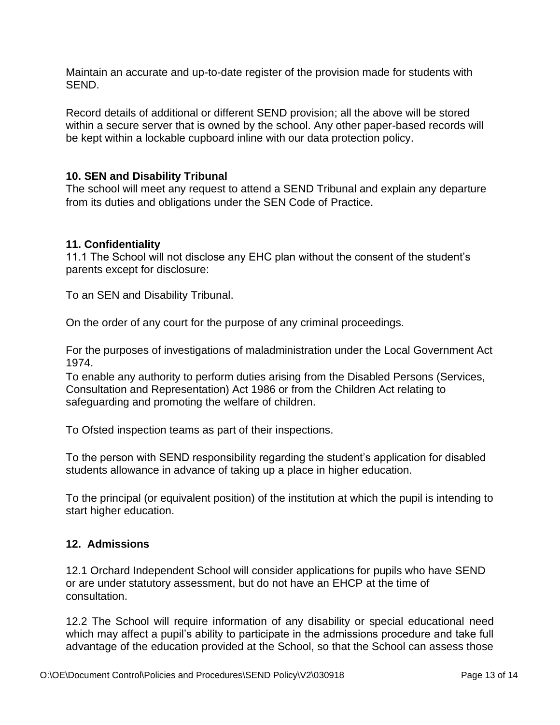Maintain an accurate and up-to-date register of the provision made for students with SEND.

Record details of additional or different SEND provision; all the above will be stored within a secure server that is owned by the school. Any other paper-based records will be kept within a lockable cupboard inline with our data protection policy.

## **10. SEN and Disability Tribunal**

The school will meet any request to attend a SEND Tribunal and explain any departure from its duties and obligations under the SEN Code of Practice.

## **11. Confidentiality**

11.1 The School will not disclose any EHC plan without the consent of the student's parents except for disclosure:

To an SEN and Disability Tribunal.

On the order of any court for the purpose of any criminal proceedings.

For the purposes of investigations of maladministration under the Local Government Act 1974.

To enable any authority to perform duties arising from the Disabled Persons (Services, Consultation and Representation) Act 1986 or from the Children Act relating to safeguarding and promoting the welfare of children.

To Ofsted inspection teams as part of their inspections.

To the person with SEND responsibility regarding the student's application for disabled students allowance in advance of taking up a place in higher education.

To the principal (or equivalent position) of the institution at which the pupil is intending to start higher education.

## **12. Admissions**

12.1 Orchard Independent School will consider applications for pupils who have SEND or are under statutory assessment, but do not have an EHCP at the time of consultation.

12.2 The School will require information of any disability or special educational need which may affect a pupil's ability to participate in the admissions procedure and take full advantage of the education provided at the School, so that the School can assess those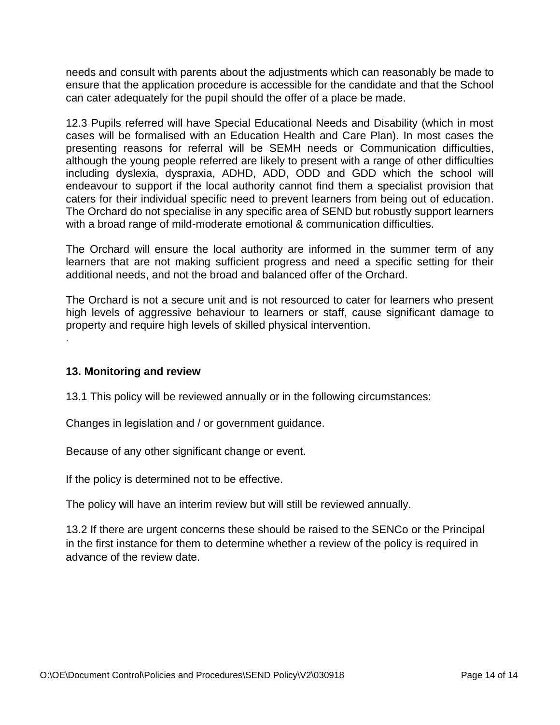needs and consult with parents about the adjustments which can reasonably be made to ensure that the application procedure is accessible for the candidate and that the School can cater adequately for the pupil should the offer of a place be made.

12.3 Pupils referred will have Special Educational Needs and Disability (which in most cases will be formalised with an Education Health and Care Plan). In most cases the presenting reasons for referral will be SEMH needs or Communication difficulties, although the young people referred are likely to present with a range of other difficulties including dyslexia, dyspraxia, ADHD, ADD, ODD and GDD which the school will endeavour to support if the local authority cannot find them a specialist provision that caters for their individual specific need to prevent learners from being out of education. The Orchard do not specialise in any specific area of SEND but robustly support learners with a broad range of mild-moderate emotional & communication difficulties.

The Orchard will ensure the local authority are informed in the summer term of any learners that are not making sufficient progress and need a specific setting for their additional needs, and not the broad and balanced offer of the Orchard.

The Orchard is not a secure unit and is not resourced to cater for learners who present high levels of aggressive behaviour to learners or staff, cause significant damage to property and require high levels of skilled physical intervention.

**13. Monitoring and review** 

.

13.1 This policy will be reviewed annually or in the following circumstances:

Changes in legislation and / or government guidance.

Because of any other significant change or event.

If the policy is determined not to be effective.

The policy will have an interim review but will still be reviewed annually.

13.2 If there are urgent concerns these should be raised to the SENCo or the Principal in the first instance for them to determine whether a review of the policy is required in advance of the review date.